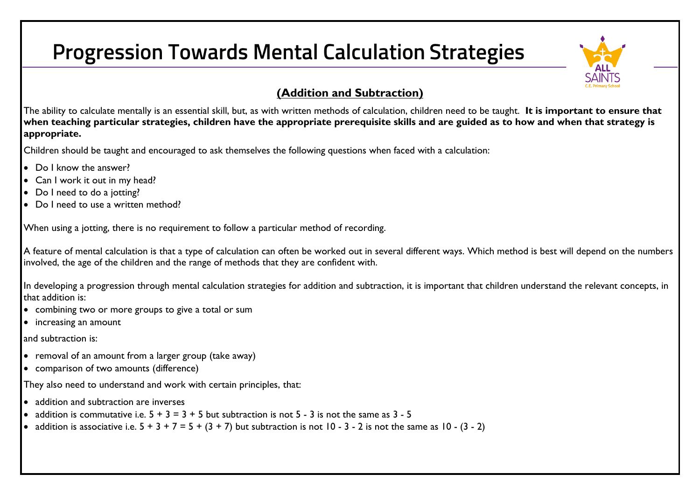# **Progression Towards Mental Calculation Strategies**



# **(Addition and Subtraction)**

The ability to calculate mentally is an essential skill, but, as with written methods of calculation, children need to be taught. **It is important to ensure that when teaching particular strategies, children have the appropriate prerequisite skills and are guided as to how and when that strategy is appropriate.**

Children should be taught and encouraged to ask themselves the following questions when faced with a calculation:

- Do I know the answer?
- Can I work it out in my head?
- Do I need to do a jotting?
- Do I need to use a written method?

When using a jotting, there is no requirement to follow a particular method of recording.

A feature of mental calculation is that a type of calculation can often be worked out in several different ways. Which method is best will depend on the numbers involved, the age of the children and the range of methods that they are confident with.

In developing a progression through mental calculation strategies for addition and subtraction, it is important that children understand the relevant concepts, in that addition is:

- combining two or more groups to give a total or sum
- increasing an amount

and subtraction is:

- removal of an amount from a larger group (take away)
- comparison of two amounts (difference)

They also need to understand and work with certain principles, that:

- addition and subtraction are inverses
- addition is commutative i.e.  $5 + 3 = 3 + 5$  but subtraction is not  $5 3$  is not the same as  $3 5$
- addition is associative i.e.  $5 + 3 + 7 = 5 + (3 + 7)$  but subtraction is not 10 3 2 is not the same as 10  $(3 2)$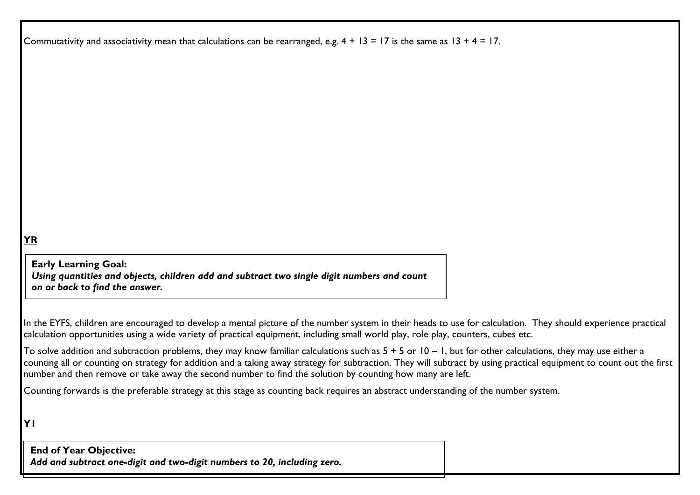Commutativity and associativity mean that calculations can be rearranged, e.g.  $4 + 13 = 17$  is the same as  $13 + 4 = 17$ .

**YR**

**Early Learning Goal:** *Using quantities and objects, children add and subtract two single digit numbers and count on or back to find the answer.*

In the EYFS, children are encouraged to develop a mental picture of the number system in their heads to use for calculation. They should experience practical calculation opportunities using a wide variety of practical equipment, including small world play, role play, counters, cubes etc.

To solve addition and subtraction problems, they may know familiar calculations such as  $5 + 5$  or  $10 - 1$ , but for other calculations, they may use either a counting all or counting on strategy for addition and a taking away strategy for subtraction. They will subtract by using practical equipment to count out the first number and then remove or take away the second number to find the solution by counting how many are left.

Counting forwards is the preferable strategy at this stage as counting back requires an abstract understanding of the number system.

**Y1**

**End of Year Objective:** *Add and subtract one-digit and two-digit numbers to 20, including zero.*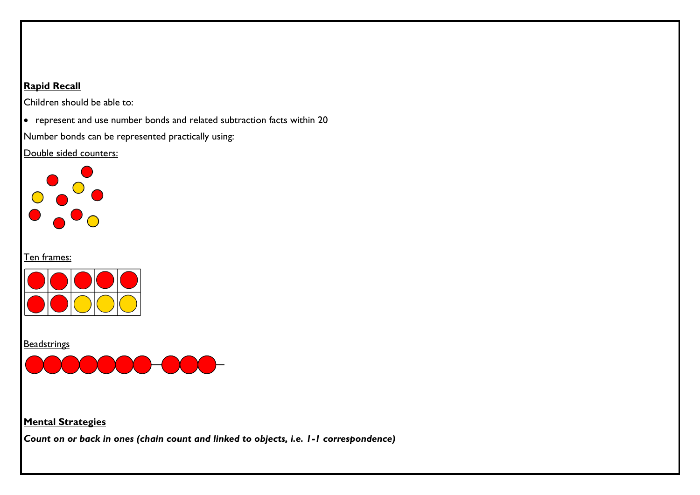# **Rapid Recall**

Children should be able to:

• represent and use number bonds and related subtraction facts within 20

Number bonds can be represented practically using:

Double sided counters:



Ten frames:



**Beadstrings** 



**Mental Strategies**

*Count on or back in ones (chain count and linked to objects, i.e. 1-1 correspondence)*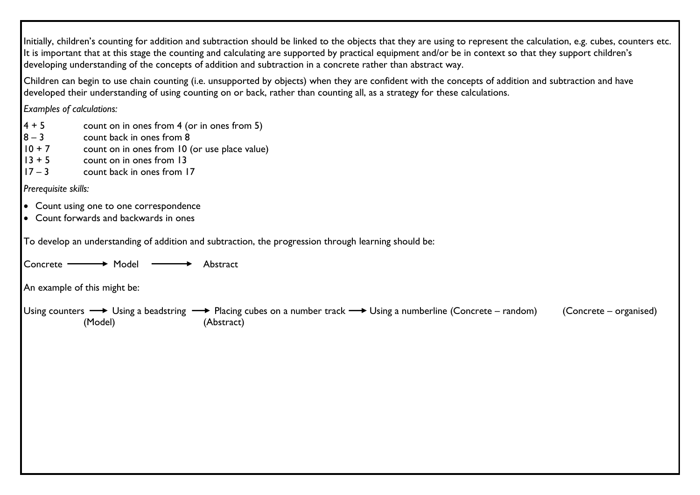Initially, children's counting for addition and subtraction should be linked to the objects that they are using to represent the calculation, e.g. cubes, counters etc. It is important that at this stage the counting and calculating are supported by practical equipment and/or be in context so that they support children's developing understanding of the concepts of addition and subtraction in a concrete rather than abstract way.

Children can begin to use chain counting (i.e. unsupported by objects) when they are confident with the concepts of addition and subtraction and have developed their understanding of using counting on or back, rather than counting all, as a strategy for these calculations.

*Examples of calculations:*

- $4 + 5$  count on in ones from 4 (or in ones from 5)
- 8 3 count back in ones from 8
- $10 + 7$  count on in ones from 10 (or use place value)
- 13 + 5 count on in ones from 13
- $17 3$  count back in ones from 17

*Prerequisite skills:*

- Count using one to one correspondence
- Count forwards and backwards in ones

To develop an understanding of addition and subtraction, the progression through learning should be:

Concrete  $\longrightarrow$  Model  $\longrightarrow$  Abstract

An example of this might be:

Using counters  $\longrightarrow$  Using a beadstring  $\longrightarrow$  Placing cubes on a number track  $\longrightarrow$  Using a numberline (Concrete – random) (Concrete – organised) (Model) (Abstract)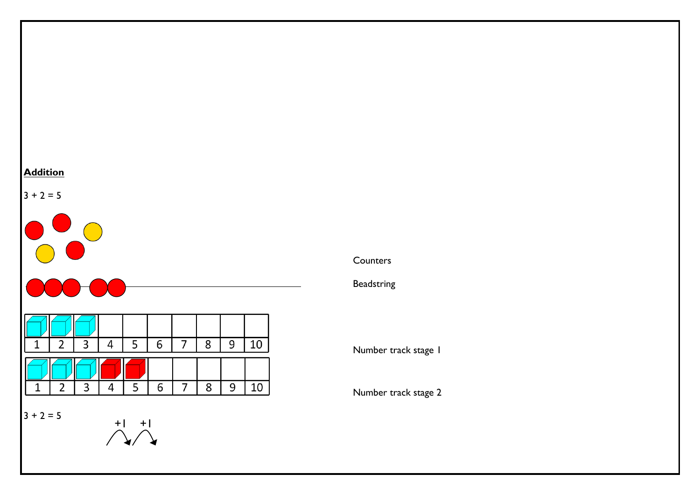



# Beadstring

Number track stage 1

Number track stage 2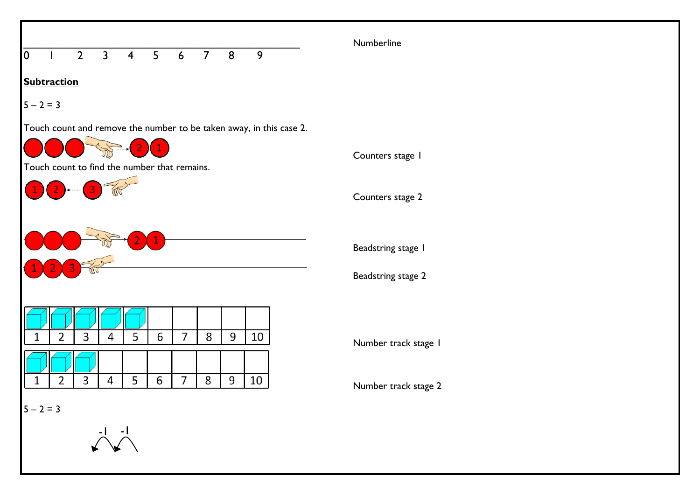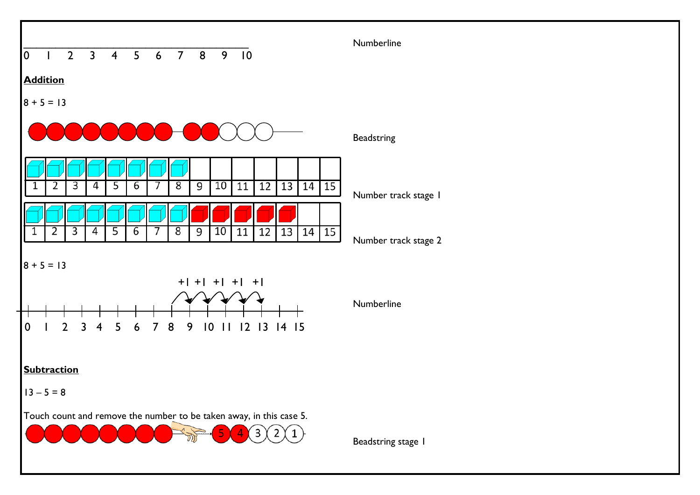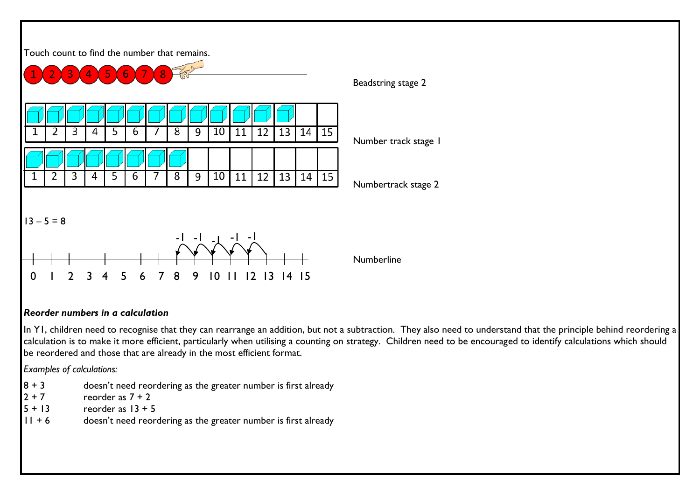

#### *Reorder numbers in a calculation*

In YI, children need to recognise that they can rearrange an addition, but not a subtraction. They also need to understand that the principle behind reordering a calculation is to make it more efficient, particularly when utilising a counting on strategy. Children need to be encouraged to identify calculations which should be reordered and those that are already in the most efficient format.

*Examples of calculations:*

- $8 + 3$  doesn't need reordering as the greater number is first already
- $2 + 7$  reorder as  $7 + 2$
- $\overline{5} + \overline{13}$  reorder as  $\overline{13} + \overline{5}$
- $|11 + 6$  doesn't need reordering as the greater number is first already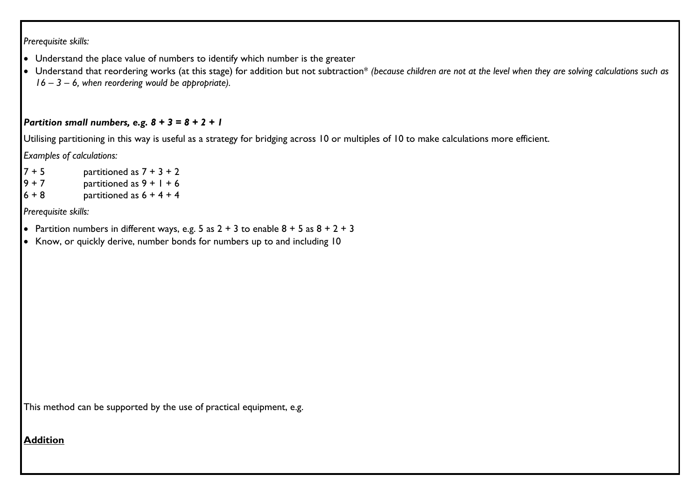*Prerequisite skills:*

- Understand the place value of numbers to identify which number is the greater
- Understand that reordering works (at this stage) for addition but not subtraction\* *(because children are not at the level when they are solving calculations such as 16 – 3 – 6, when reordering would be appropriate).*

#### *Partition small numbers, e.g. 8 + 3 = 8 + 2 + 1*

Utilising partitioning in this way is useful as a strategy for bridging across 10 or multiples of 10 to make calculations more efficient.

*Examples of calculations:*

 $7 + 5$  partitioned as  $7 + 3 + 2$  $9 + 7$  partitioned as  $9 + 1 + 6$  $6 + 8$  partitioned as  $6 + 4 + 4$ 

*Prerequisite skills:*

- Partition numbers in different ways, e.g. 5 as  $2 + 3$  to enable  $8 + 5$  as  $8 + 2 + 3$
- Know, or quickly derive, number bonds for numbers up to and including 10

This method can be supported by the use of practical equipment, e.g.

# **Addition**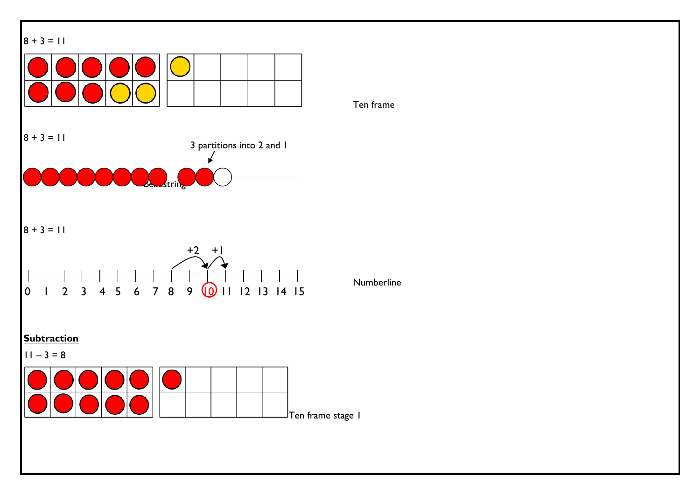

Ten frame

Numberline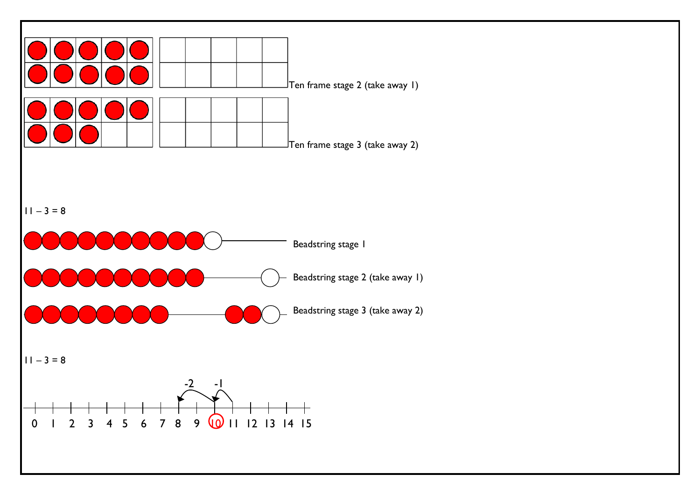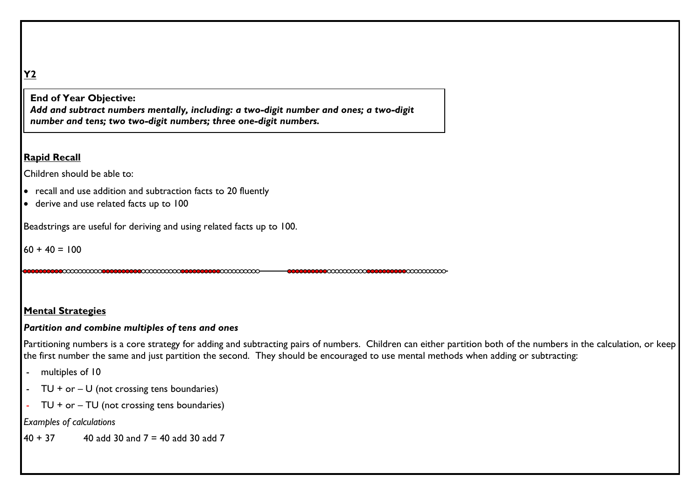# **Y2**

#### **End of Year Objective:** *Add and subtract numbers mentally, including: a two-digit number and ones; a two-digit number and tens; two two-digit numbers; three one-digit numbers.*

#### **Rapid Recall**

Children should be able to:

- recall and use addition and subtraction facts to 20 fluently
- derive and use related facts up to 100

Beadstrings are useful for deriving and using related facts up to 100.

 $60 + 40 = 100$ 

#### **Mental Strategies**

#### *Partition and combine multiples of tens and ones*

Partitioning numbers is a core strategy for adding and subtracting pairs of numbers. Children can either partition both of the numbers in the calculation, or keep the first number the same and just partition the second. They should be encouraged to use mental methods when adding or subtracting:

- multiples of 10
- $TU + or U$  (not crossing tens boundaries)
- $TU + or TU$  (not crossing tens boundaries)

*Examples of calculations*

 $40 + 37$  40 add 30 and  $7 = 40$  add 30 add 7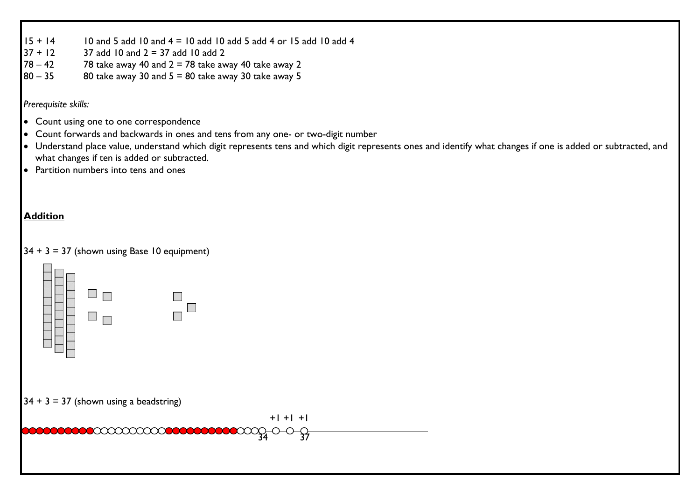- $15 + 14$  10 and 5 add 10 and 4 = 10 add 10 add 5 add 4 or 15 add 10 add 4<br>37 + 12 37 add 10 and 2 = 37 add 10 add 2
- $37 + 12$  37 add 10 and  $2 = 37$  add 10 add 2<br> $78 42$  78 take away 40 and  $2 = 78$  take av
- 78 take away 40 and  $2 = 78$  take away 40 take away 2
- $\sqrt{80} 35$  80 take away 30 and  $5 = 80$  take away 30 take away 5

*Prerequisite skills:*

- Count using one to one correspondence
- Count forwards and backwards in ones and tens from any one- or two-digit number
- Understand place value, understand which digit represents tens and which digit represents ones and identify what changes if one is added or subtracted, and what changes if ten is added or subtracted.
- Partition numbers into tens and ones

# **Addition**

 $34 + 3 = 37$  (shown using Base 10 equipment)

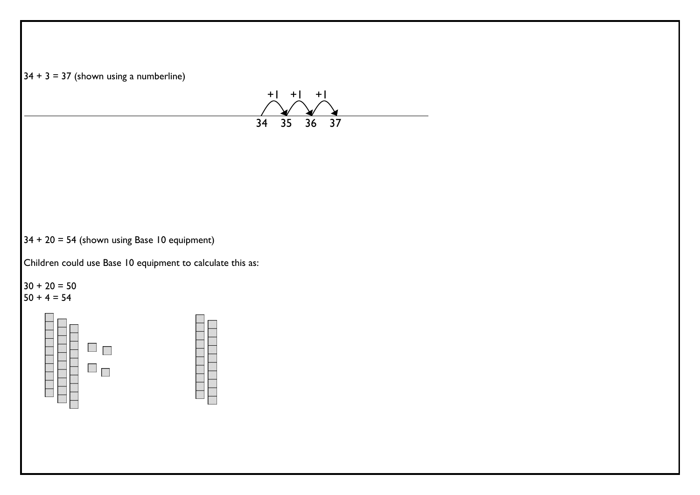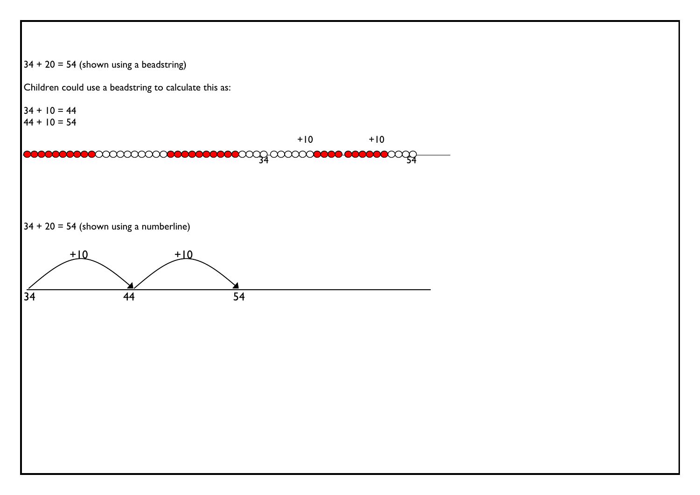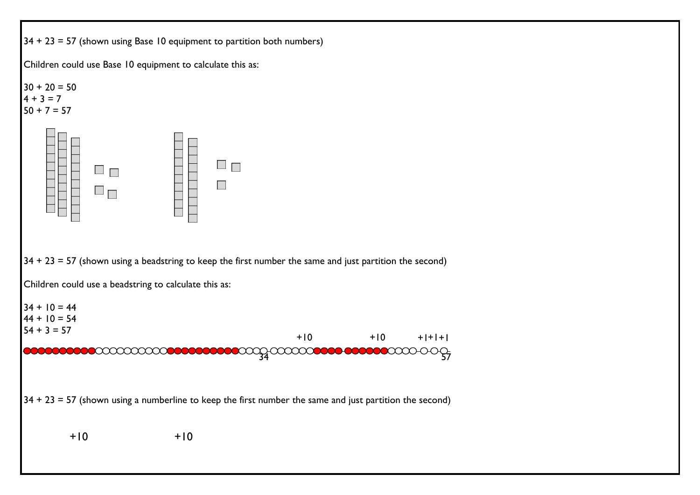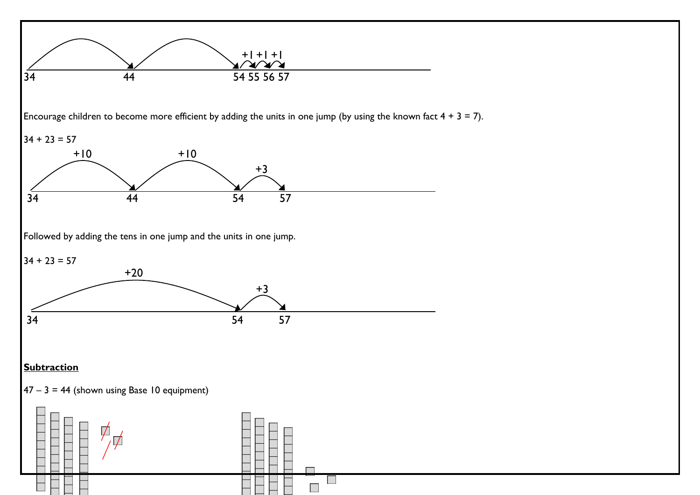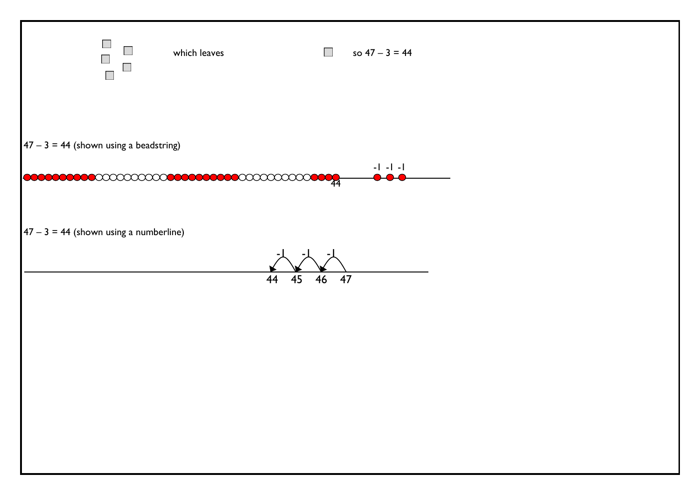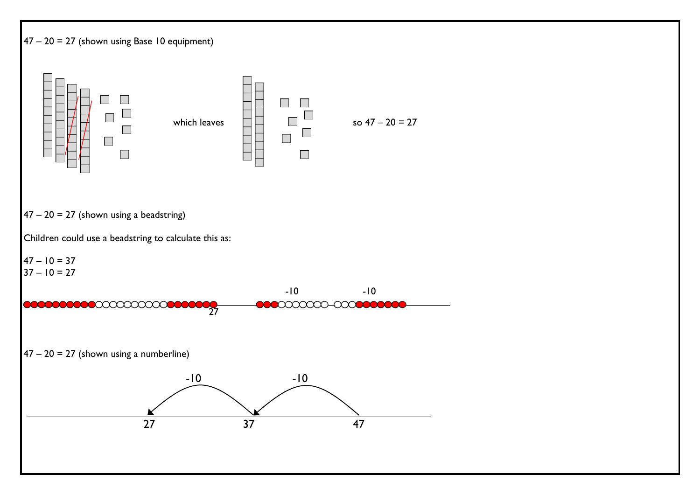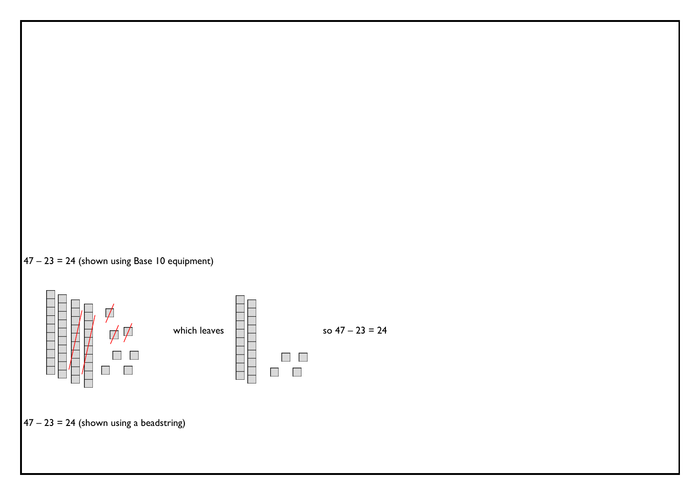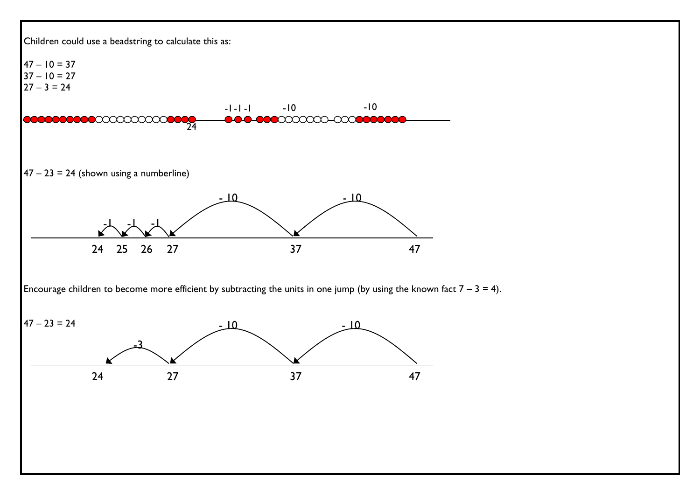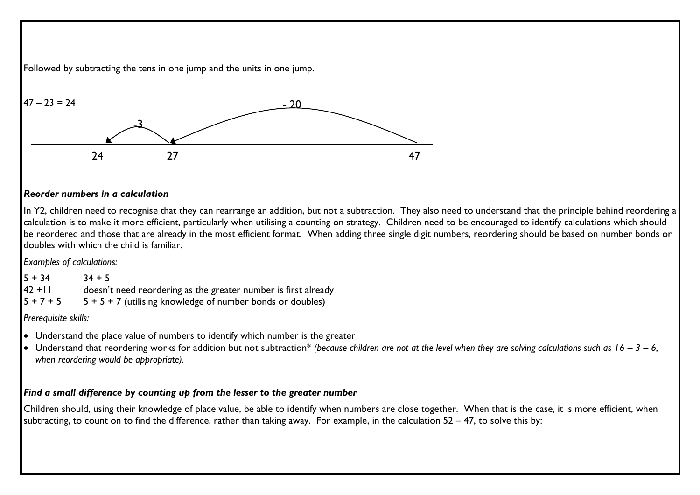Followed by subtracting the tens in one jump and the units in one jump.



#### *Reorder numbers in a calculation*

In Y2, children need to recognise that they can rearrange an addition, but not a subtraction. They also need to understand that the principle behind reordering a calculation is to make it more efficient, particularly when utilising a counting on strategy. Children need to be encouraged to identify calculations which should be reordered and those that are already in the most efficient format. When adding three single digit numbers, reordering should be based on number bonds or doubles with which the child is familiar.

*Examples of calculations:*

| $15 + 34$    | $34 + 5$                                                       |
|--------------|----------------------------------------------------------------|
| $142 + 11$   | doesn't need reordering as the greater number is first already |
| $15 + 7 + 5$ | $5 + 5 + 7$ (utilising knowledge of number bonds or doubles)   |

*Prerequisite skills:*

- Understand the place value of numbers to identify which number is the greater
- Understand that reordering works for addition but not subtraction\* *(because children are not at the level when they are solving calculations such as*  $16 3 6$ *, when reordering would be appropriate).*

#### *Find a small difference by counting up from the lesser to the greater number*

Children should, using their knowledge of place value, be able to identify when numbers are close together. When that is the case, it is more efficient, when subtracting, to count on to find the difference, rather than taking away. For example, in the calculation 52 – 47, to solve this by: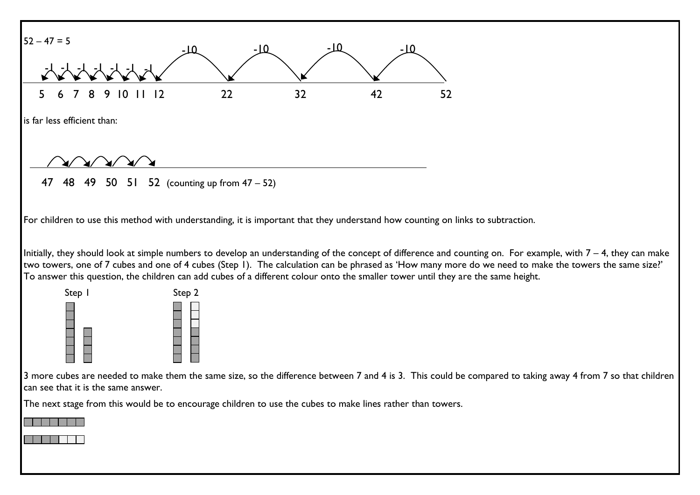

3 more cubes are needed to make them the same size, so the difference between 7 and 4 is 3. This could be compared to taking away 4 from 7 so that children can see that it is the same answer.

The next stage from this would be to encourage children to use the cubes to make lines rather than towers.



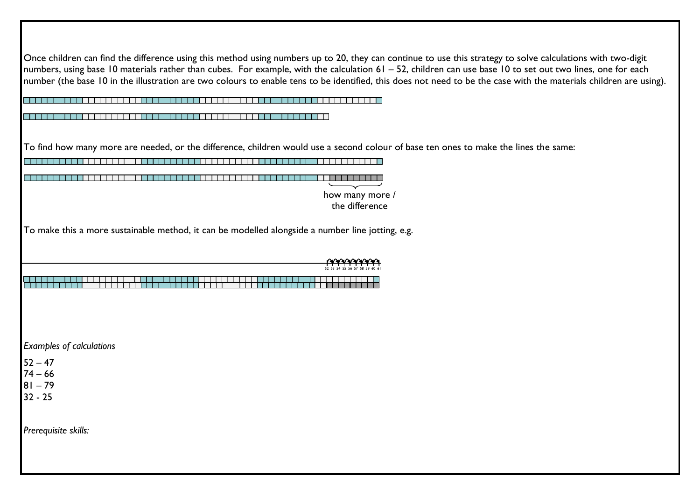| Once children can find the difference using this method using numbers up to 20, they can continue to use this strategy to solve calculations with two-digit                                                                                                                                                                      |  |  |
|----------------------------------------------------------------------------------------------------------------------------------------------------------------------------------------------------------------------------------------------------------------------------------------------------------------------------------|--|--|
| numbers, using base 10 materials rather than cubes. For example, with the calculation 61 - 52, children can use base 10 to set out two lines, one for each<br>number (the base 10 in the illustration are two colours to enable tens to be identified, this does not need to be the case with the materials children are using). |  |  |
|                                                                                                                                                                                                                                                                                                                                  |  |  |
|                                                                                                                                                                                                                                                                                                                                  |  |  |
|                                                                                                                                                                                                                                                                                                                                  |  |  |
| To find how many more are needed, or the difference, children would use a second colour of base ten ones to make the lines the same:                                                                                                                                                                                             |  |  |
|                                                                                                                                                                                                                                                                                                                                  |  |  |
|                                                                                                                                                                                                                                                                                                                                  |  |  |
| how many more /                                                                                                                                                                                                                                                                                                                  |  |  |
| the difference                                                                                                                                                                                                                                                                                                                   |  |  |
| To make this a more sustainable method, it can be modelled alongside a number line jotting, e.g.                                                                                                                                                                                                                                 |  |  |
|                                                                                                                                                                                                                                                                                                                                  |  |  |
|                                                                                                                                                                                                                                                                                                                                  |  |  |
|                                                                                                                                                                                                                                                                                                                                  |  |  |
|                                                                                                                                                                                                                                                                                                                                  |  |  |
|                                                                                                                                                                                                                                                                                                                                  |  |  |
|                                                                                                                                                                                                                                                                                                                                  |  |  |
|                                                                                                                                                                                                                                                                                                                                  |  |  |
| <b>Examples of calculations</b>                                                                                                                                                                                                                                                                                                  |  |  |
| $52 - 47$<br>$74 - 66$                                                                                                                                                                                                                                                                                                           |  |  |
| $81 - 79$                                                                                                                                                                                                                                                                                                                        |  |  |
| $32 - 25$                                                                                                                                                                                                                                                                                                                        |  |  |
|                                                                                                                                                                                                                                                                                                                                  |  |  |
| Prerequisite skills:                                                                                                                                                                                                                                                                                                             |  |  |
|                                                                                                                                                                                                                                                                                                                                  |  |  |
|                                                                                                                                                                                                                                                                                                                                  |  |  |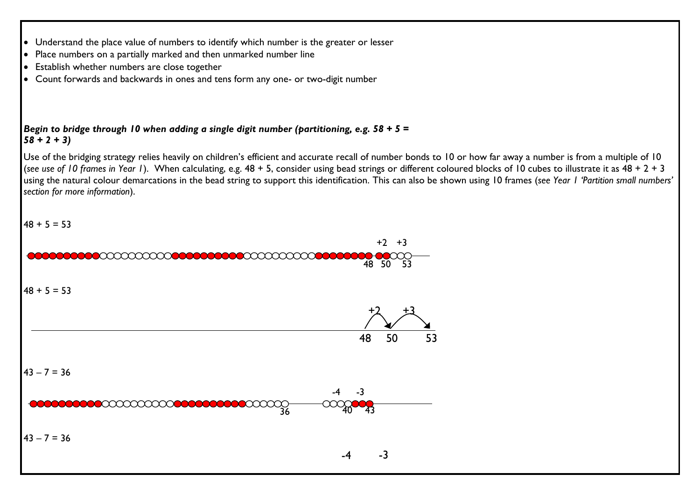

- Place numbers on a partially marked and then unmarked number line
- Establish whether numbers are close together
- Count forwards and backwards in ones and tens form any one- or two-digit number

## *Begin to bridge through 10 when adding a single digit number (partitioning, e.g. 58 + 5 = 58 + 2 + 3)*

Use of the bridging strategy relies heavily on children's efficient and accurate recall of number bonds to 10 or how far away a number is from a multiple of 10 (*see use of 10 frames in Year 1*). When calculating, e.g. 48 + 5, consider using bead strings or different coloured blocks of 10 cubes to illustrate it as 48 + 2 + 3 using the natural colour demarcations in the bead string to support this identification. This can also be shown using 10 frames (*see Year 1 'Partition small numbers' section for more information*).

 $48 + 5 = 53$ 

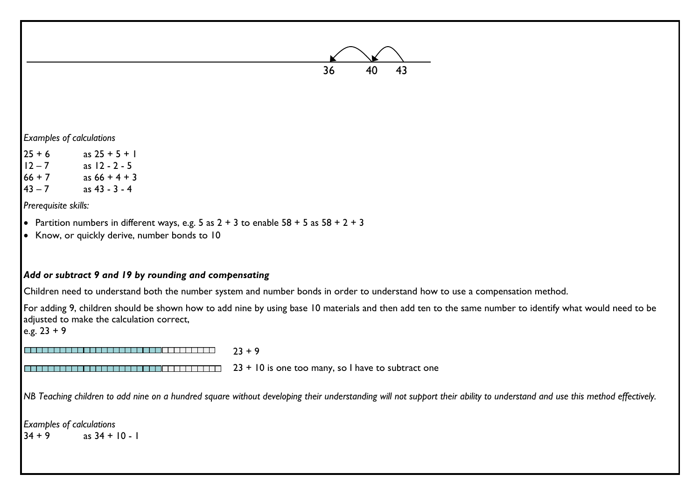

#### *Examples of calculations*

 $25 + 6$  as  $25 + 5 + 1$  $12 - 7$  as  $12 - 2 - 5$  $66 + 7$  as  $66 + 4 + 3$  $\begin{array}{|c|c|c|c|}\n43 & -7 & \text{as } 43 & -3 & -4\n\end{array}$ 

*Prerequisite skills:*

- Partition numbers in different ways, e.g. 5 as  $2 + 3$  to enable  $58 + 5$  as  $58 + 2 + 3$
- Know, or quickly derive, number bonds to 10

# *Add or subtract 9 and 19 by rounding and compensating*

Children need to understand both the number system and number bonds in order to understand how to use a compensation method.

For adding 9, children should be shown how to add nine by using base 10 materials and then add ten to the same number to identify what would need to be adjusted to make the calculation correct,

e.g. 23 + 9

 $73 + 9$ 

23 + 10 is one too many, so I have to subtract one n din bir

*NB Teaching children to add nine on a hundred square without developing their understanding will not support their ability to understand and use this method effectively.*

*Examples of calculations*  $34 + 9$  as  $34 + 10 - 1$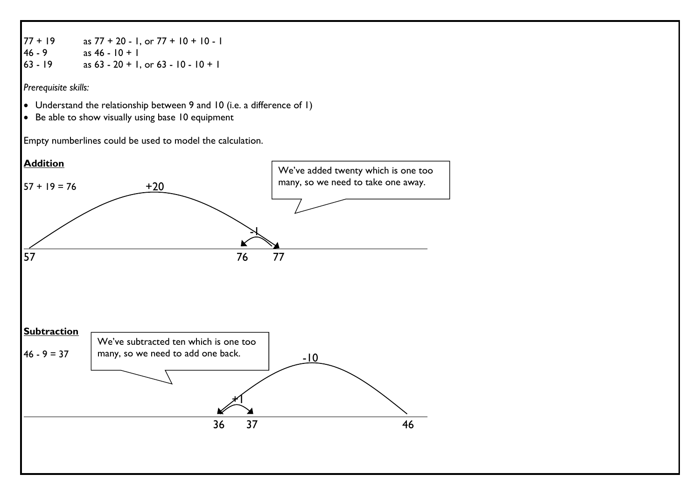$77 + 19$  as  $77 + 20 - 1$ , or  $77 + 10 + 10 - 1$ <br>46 - 9 as 46 -  $10 + 1$  $\begin{array}{ccc} 46 & -9 & \text{as } 46 & -10 & +1 \\ 63 & -19 & \text{as } 63 & -20 & +1 \end{array}$ as  $63 - 20 + 1$ , or  $63 - 10 - 10 + 1$ 

*Prerequisite skills:*

- Understand the relationship between 9 and 10 (i.e. a difference of 1)
- Be able to show visually using base 10 equipment

Empty numberlines could be used to model the calculation.

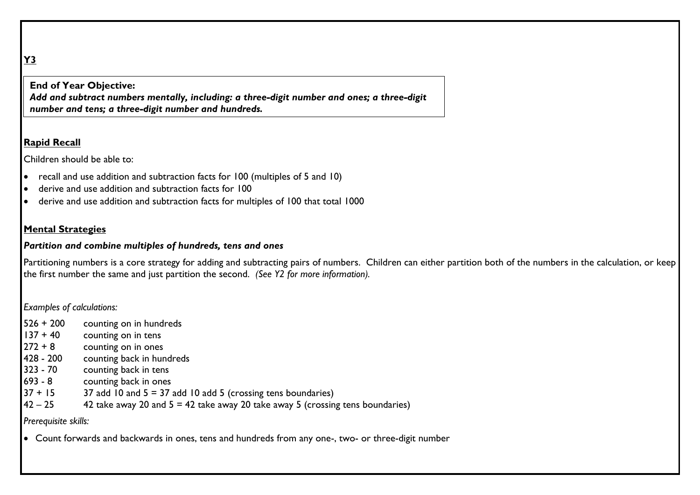# **Y3**

**End of Year Objective:** *Add and subtract numbers mentally, including: a three-digit number and ones; a three-digit number and tens; a three-digit number and hundreds.*

#### **Rapid Recall**

Children should be able to:

- recall and use addition and subtraction facts for 100 (multiples of 5 and 10)
- derive and use addition and subtraction facts for 100
- derive and use addition and subtraction facts for multiples of 100 that total 1000

## **Mental Strategies**

#### *Partition and combine multiples of hundreds, tens and ones*

Partitioning numbers is a core strategy for adding and subtracting pairs of numbers. Children can either partition both of the numbers in the calculation, or keep the first number the same and just partition the second. *(See Y2 for more information).*

#### *Examples of calculations:*

- 526 + 200 counting on in hundreds
- 137 + 40 counting on in tens
- $272 + 8$  counting on in ones
- 428 200 counting back in hundreds
- 323 70 counting back in tens
- 693 8 counting back in ones
- $37 + 15$  37 add 10 and  $5 = 37$  add 10 add 5 (crossing tens boundaries)
- $42 25$  42 take away 20 and  $5 = 42$  take away 20 take away 5 (crossing tens boundaries)

*Prerequisite skills:*

• Count forwards and backwards in ones, tens and hundreds from any one-, two- or three-digit number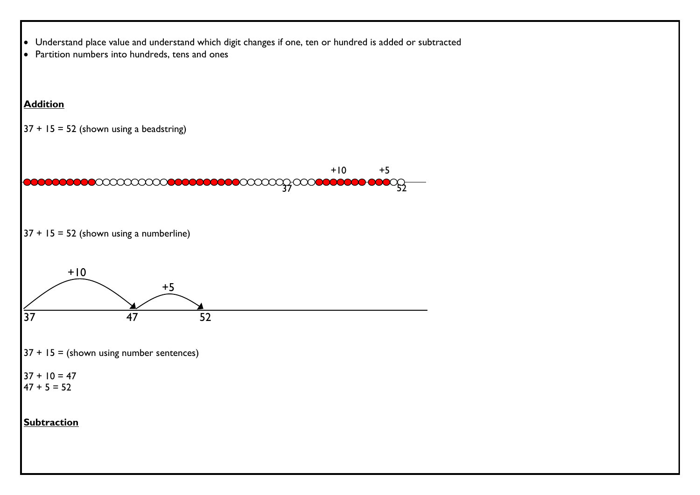

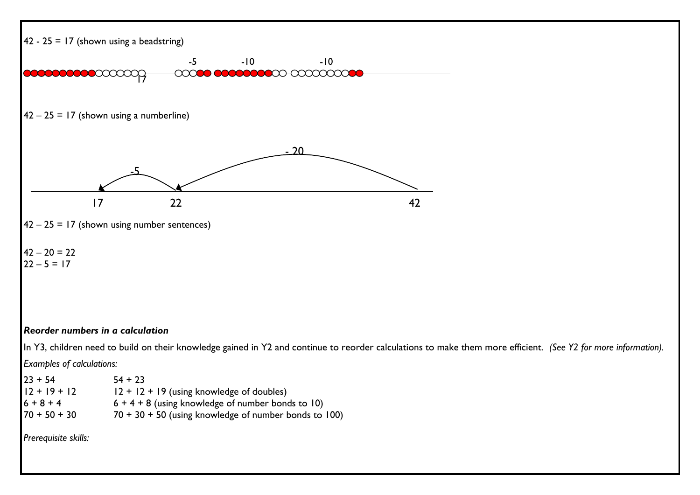

 $23 + 54$   $54 + 23$  $12 + 19 + 12$  12 + 12 + 19 (using knowledge of doubles)  $6 + 8 + 4$  6 + 4 + 8 (using knowledge of number bonds to 10)  $70 + 50 + 30$   $70 + 30 + 50$  (using knowledge of number bonds to 100)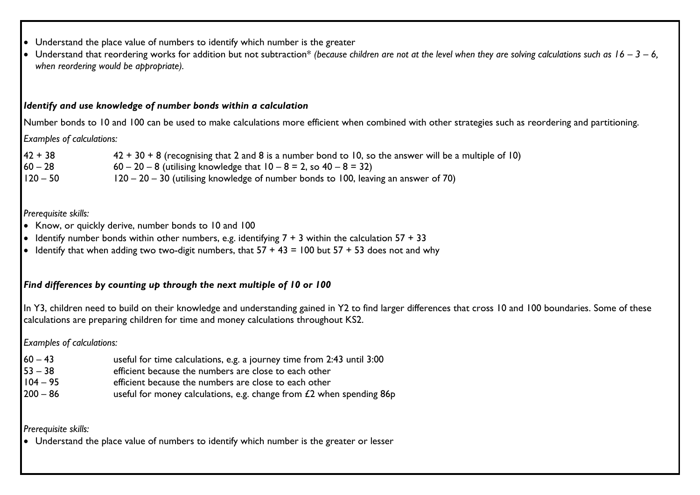- Understand the place value of numbers to identify which number is the greater
- Understand that reordering works for addition but not subtraction\* *(because children are not at the level when they are solving calculations such as*  $16 3 6$ *, when reordering would be appropriate).*

#### *Identify and use knowledge of number bonds within a calculation*

Number bonds to 10 and 100 can be used to make calculations more efficient when combined with other strategies such as reordering and partitioning.

*Examples of calculations:*

 $42 + 38$  42 + 30 + 8 (recognising that 2 and 8 is a number bond to 10, so the answer will be a multiple of 10)  $60 - 28$  60 – 20 – 8 (utilising knowledge that  $10 - 8 = 2$ , so  $40 - 8 = 32$ ) 120 – 50 120 – 20 – 30 (utilising knowledge of number bonds to 100, leaving an answer of 70)

*Prerequisite skills:* 

- Know, or quickly derive, number bonds to 10 and 100
- Identify number bonds within other numbers, e.g. identifying  $7 + 3$  within the calculation  $57 + 33$
- Identify that when adding two two-digit numbers, that  $57 + 43 = 100$  but  $57 + 53$  does not and why

#### *Find differences by counting up through the next multiple of 10 or 100*

In Y3, children need to build on their knowledge and understanding gained in Y2 to find larger differences that cross 10 and 100 boundaries. Some of these calculations are preparing children for time and money calculations throughout KS2.

*Examples of calculations:*

- 60 43 useful for time calculations, e.g. a journey time from 2:43 until 3:00
- 53 38 efficient because the numbers are close to each other
- 104 95 efficient because the numbers are close to each other
- $200 86$  useful for money calculations, e.g. change from  $£2$  when spending 86p

*Prerequisite skills:*

• Understand the place value of numbers to identify which number is the greater or lesser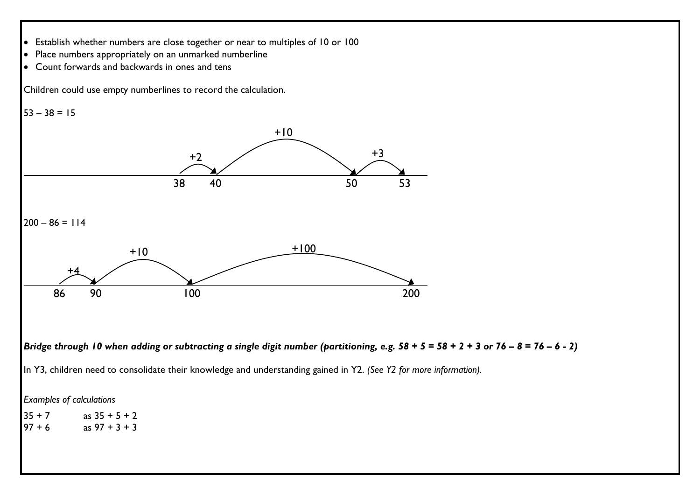

- Place numbers appropriately on an unmarked numberline
- Count forwards and backwards in ones and tens

Children could use empty numberlines to record the calculation.

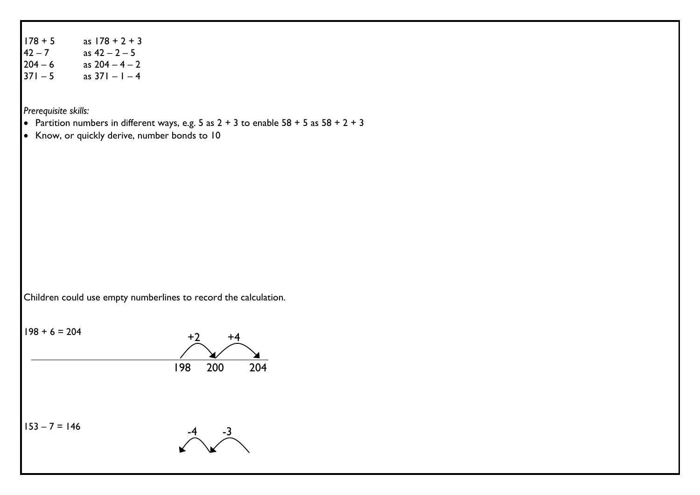$\begin{array}{ccc} |178 + 5 & \text{as } 178 + 2 + 3 \\ 42 - 7 & \text{as } 42 - 2 - 5 \end{array}$  $\begin{cases} 42 - 7 \\ 204 - 6 \end{cases}$  as  $42 - 2 - 5$ <br>as  $204 - 4 - 2$  $\begin{array}{|l|l|} 204 - 6 & \text{as } 204 - 4 - 2 \\ 371 - 5 & \text{as } 371 - 1 - 4 \end{array}$ as  $371 - 1 - 4$ 

*Prerequisite skills:*

- Partition numbers in different ways, e.g. 5 as  $2 + 3$  to enable  $58 + 5$  as  $58 + 2 + 3$
- Know, or quickly derive, number bonds to 10

Children could use empty numberlines to record the calculation.

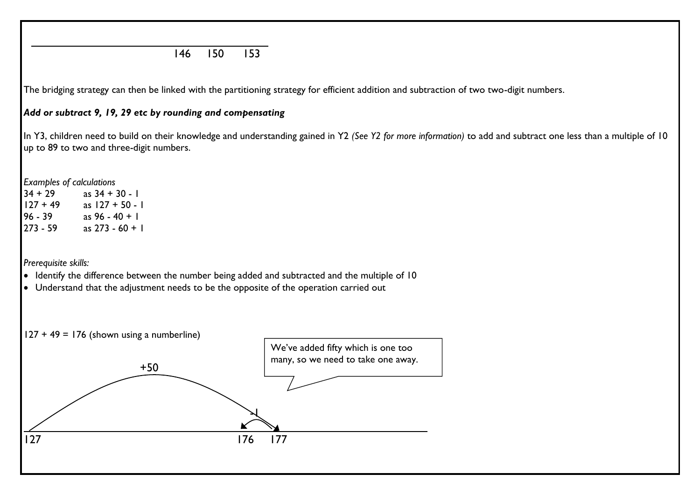# 146 150 153

The bridging strategy can then be linked with the partitioning strategy for efficient addition and subtraction of two two-digit numbers.

#### *Add or subtract 9, 19, 29 etc by rounding and compensating*

In Y3, children need to build on their knowledge and understanding gained in Y2 *(See Y2 for more information)* to add and subtract one less than a multiple of 10 up to 89 to two and three-digit numbers.

*Examples of calculations*

 $34 + 29$  as  $34 + 30 - 1$  $127 + 49$  as  $127 + 50 - 1$  $96 - 39$  as  $96 - 40 + 1$  $273 - 59$  as  $273 - 60 + 1$ 

- Identify the difference between the number being added and subtracted and the multiple of 10
- Understand that the adjustment needs to be the opposite of the operation carried out

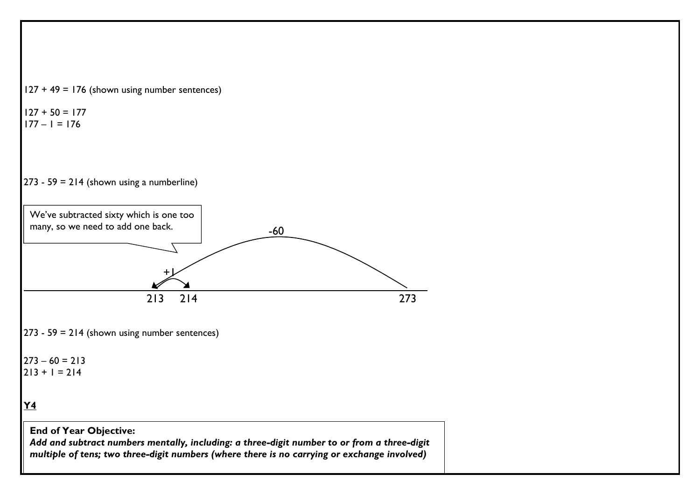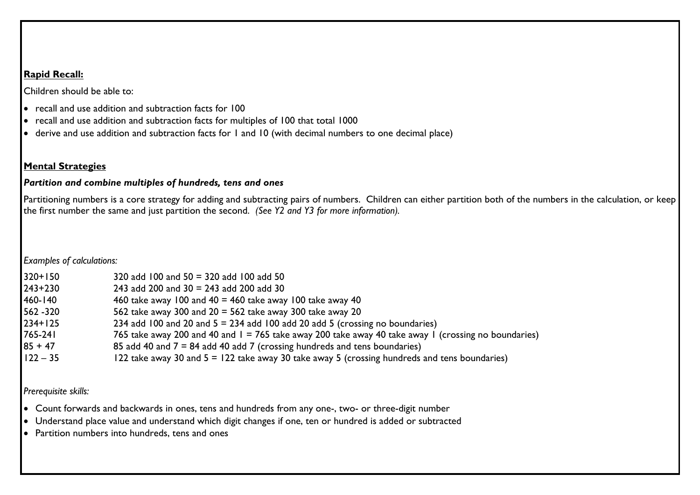# **Rapid Recall:**

Children should be able to:

- recall and use addition and subtraction facts for 100
- recall and use addition and subtraction facts for multiples of 100 that total 1000
- derive and use addition and subtraction facts for 1 and 10 (with decimal numbers to one decimal place)

# **Mental Strategies**

# *Partition and combine multiples of hundreds, tens and ones*

Partitioning numbers is a core strategy for adding and subtracting pairs of numbers. Children can either partition both of the numbers in the calculation, or keep the first number the same and just partition the second. *(See Y2 and Y3 for more information).*

*Examples of calculations:*

| $320+150$   | 320 add 100 and $50 = 320$ add 100 add 50                                                            |
|-------------|------------------------------------------------------------------------------------------------------|
| $243 + 230$ | 243 add 200 and $30 = 243$ add 200 add 30                                                            |
| 460-140     | 460 take away 100 and 40 = 460 take away 100 take away 40                                            |
| 562 -320    | 562 take away 300 and $20 = 562$ take away 300 take away 20                                          |
| $234+125$   | 234 add 100 and 20 and $5 = 234$ add 100 add 20 add 5 (crossing no boundaries)                       |
| 765-241     | 765 take away 200 and 40 and 1 = 765 take away 200 take away 40 take away 1 (crossing no boundaries) |
| 85 + 47     | 85 add 40 and $7 = 84$ add 40 add 7 (crossing hundreds and tens boundaries)                          |
| $122 - 35$  | 122 take away 30 and $5 = 122$ take away 30 take away 5 (crossing hundreds and tens boundaries)      |

- Count forwards and backwards in ones, tens and hundreds from any one-, two- or three-digit number
- Understand place value and understand which digit changes if one, ten or hundred is added or subtracted
- Partition numbers into hundreds, tens and ones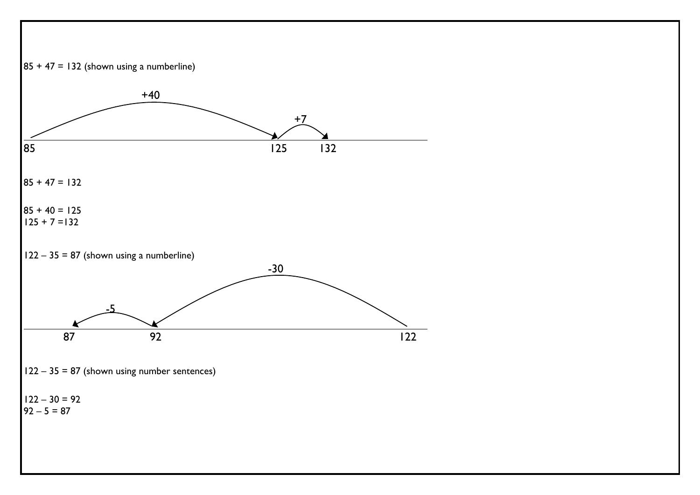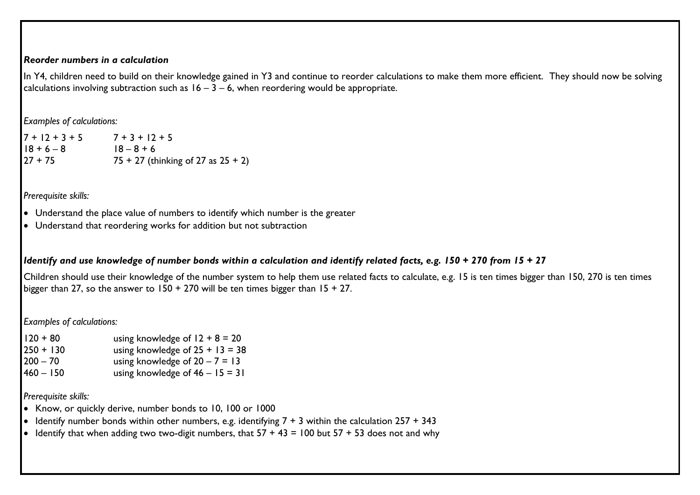#### *Reorder numbers in a calculation*

In Y4, children need to build on their knowledge gained in Y3 and continue to reorder calculations to make them more efficient. They should now be solving calculations involving subtraction such as  $16 - 3 - 6$ , when reordering would be appropriate.

*Examples of calculations:*

| $17 + 12 + 3 + 5$ | $7 + 3 + 12 + 5$                      |
|-------------------|---------------------------------------|
| $118 + 6 - 8$     | $18 - 8 + 6$                          |
| 27 + 75           | 75 + 27 (thinking of 27 as $25 + 2$ ) |

*Prerequisite skills:*

- Understand the place value of numbers to identify which number is the greater
- Understand that reordering works for addition but not subtraction

# *Identify and use knowledge of number bonds within a calculation and identify related facts, e.g. 150 + 270 from 15 + 27*

Children should use their knowledge of the number system to help them use related facts to calculate, e.g. 15 is ten times bigger than 150, 270 is ten times bigger than 27, so the answer to  $150 + 270$  will be ten times bigger than  $15 + 27$ .

*Examples of calculations:*

 $120 + 80$  using knowledge of  $12 + 8 = 20$ 250 + 130 using knowledge of 25 + 13 = 38  $200 - 70$  using knowledge of  $20 - 7 = 13$ 460 – 150 using knowledge of 46 – 15 = 31

- Know, or quickly derive, number bonds to 10, 100 or 1000
- Identify number bonds within other numbers, e.g. identifying  $7 + 3$  within the calculation  $257 + 343$
- Identify that when adding two two-digit numbers, that  $57 + 43 = 100$  but  $57 + 53$  does not and why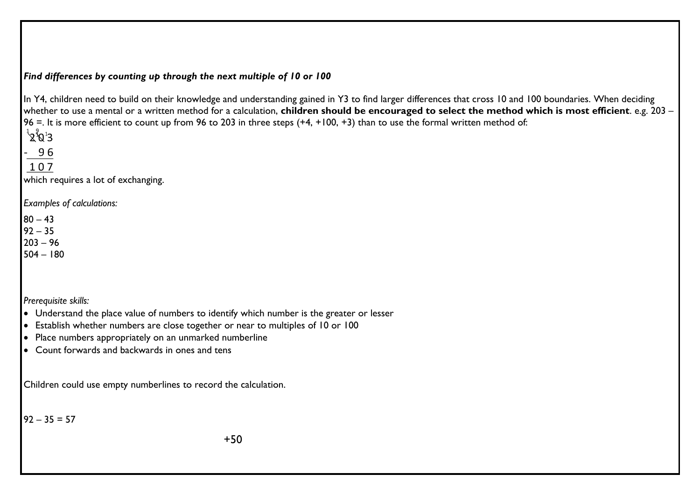# *Find differences by counting up through the next multiple of 10 or 100*

In Y4, children need to build on their knowledge and understanding gained in Y3 to find larger differences that cross 10 and 100 boundaries. When deciding whether to use a mental or a written method for a calculation, **children should be encouraged to select the method which is most efficient**. e.g. 203 – 96 =. It is more efficient to count up from 96 to 203 in three steps  $(+4, +100, +3)$  than to use the formal written method of:

 $2^{9}Q^2$ 3

96

107

which requires a lot of exchanging.

*Examples of calculations:*

 $80 - 43$  $92 - 35$  $203 - 96$  $504 - 180$ 

*Prerequisite skills:*

- Understand the place value of numbers to identify which number is the greater or lesser
- Establish whether numbers are close together or near to multiples of 10 or 100
- Place numbers appropriately on an unmarked numberline
- Count forwards and backwards in ones and tens

Children could use empty numberlines to record the calculation.

 $92 - 35 = 57$ 

 $+50$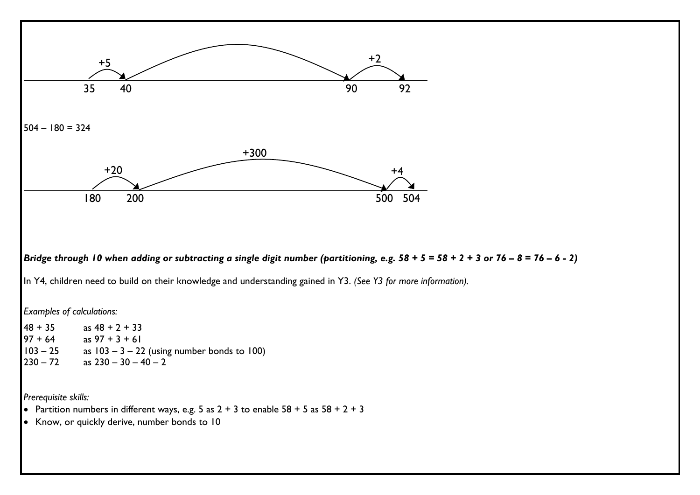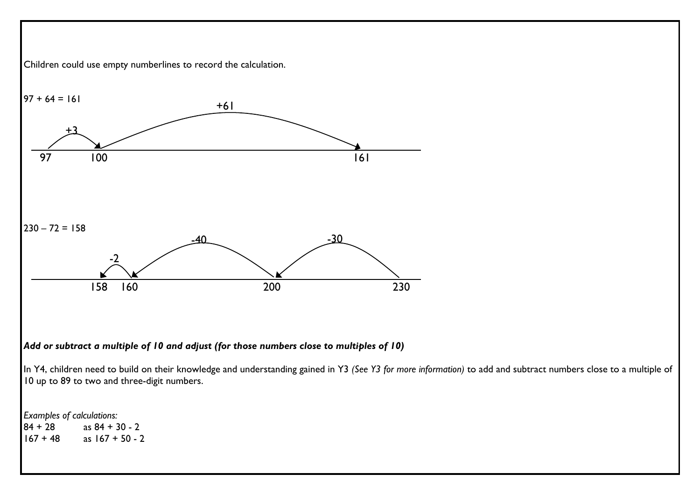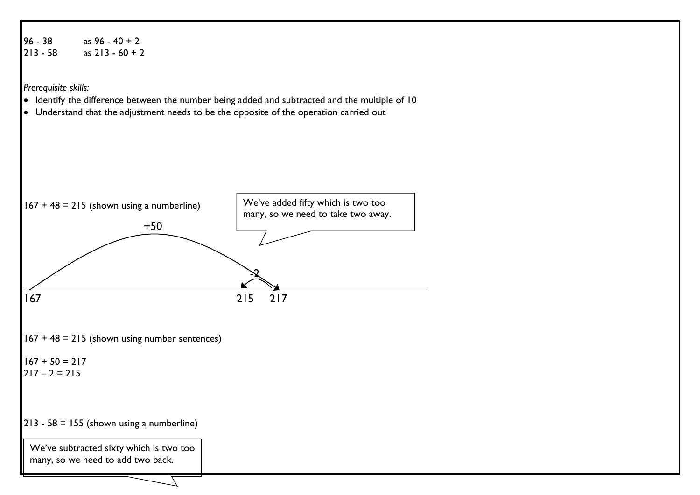# $\begin{array}{|l|l|} 96 - 38 & \text{as } 96 - 40 + 2 \\ 213 - 58 & \text{as } 213 - 60 + 2 \end{array}$  $as$  213 - 60 + 2

- Identify the difference between the number being added and subtracted and the multiple of 10
- Understand that the adjustment needs to be the opposite of the operation carried out

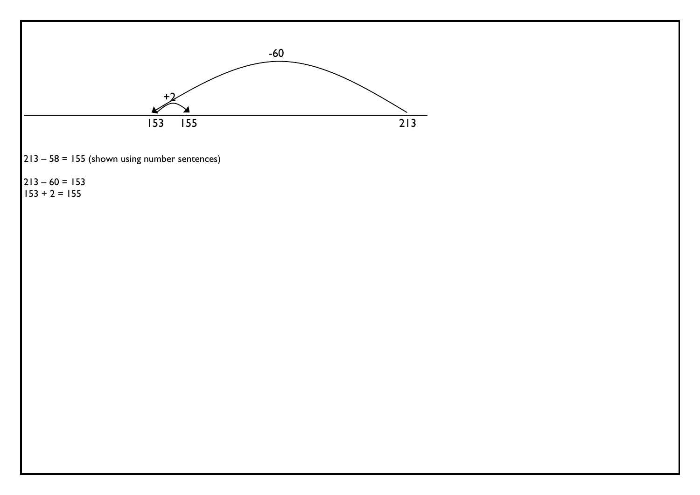



 $153 + 2 = 155$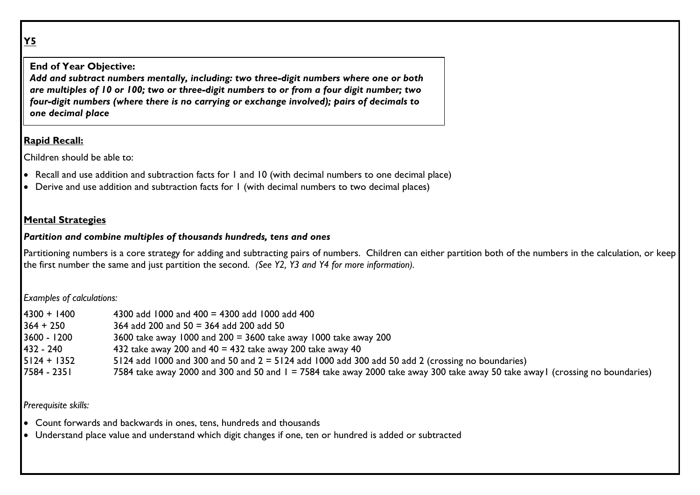# **Y5**

#### **End of Year Objective:**

*Add and subtract numbers mentally, including: two three-digit numbers where one or both are multiples of 10 or 100; two or three-digit numbers to or from a four digit number; two four-digit numbers (where there is no carrying or exchange involved); pairs of decimals to one decimal place*

#### **Rapid Recall:**

Children should be able to:

- Recall and use addition and subtraction facts for 1 and 10 (with decimal numbers to one decimal place)
- Derive and use addition and subtraction facts for 1 (with decimal numbers to two decimal places)

#### **Mental Strategies**

#### *Partition and combine multiples of thousands hundreds, tens and ones*

Partitioning numbers is a core strategy for adding and subtracting pairs of numbers. Children can either partition both of the numbers in the calculation, or keep the first number the same and just partition the second. *(See Y2, Y3 and Y4 for more information).*

#### *Examples of calculations:*

| $4300 + 1400$ | 4300 add 1000 and 400 = 4300 add 1000 add 400                                                                                  |
|---------------|--------------------------------------------------------------------------------------------------------------------------------|
| $364 + 250$   | 364 add 200 and 50 = 364 add 200 add 50                                                                                        |
| 3600 - 1200   | 3600 take away 1000 and $200 = 3600$ take away 1000 take away 200                                                              |
| 432 - 240     | 432 take away 200 and $40 = 432$ take away 200 take away 40                                                                    |
| 5124 + 1352   | 5124 add 1000 and 300 and 50 and $2 = 5124$ add 1000 add 300 add 50 add 2 (crossing no boundaries)                             |
| 7584 - 2351   | 7584 take away 2000 and 300 and 50 and 1 = 7584 take away 2000 take away 300 take away 50 take away I (crossing no boundaries) |

- Count forwards and backwards in ones, tens, hundreds and thousands
- Understand place value and understand which digit changes if one, ten or hundred is added or subtracted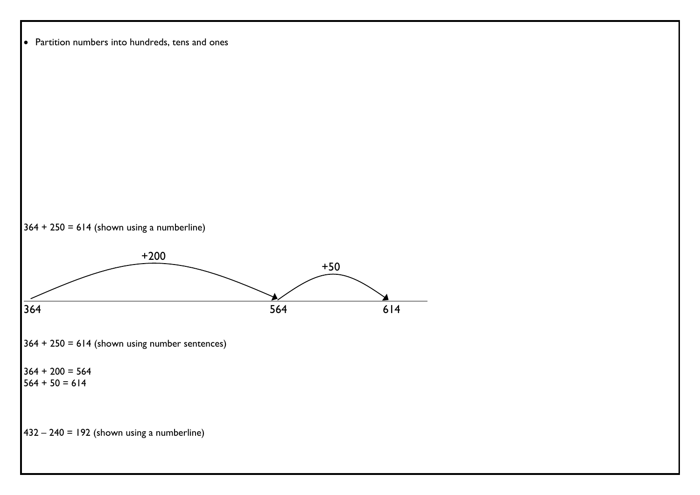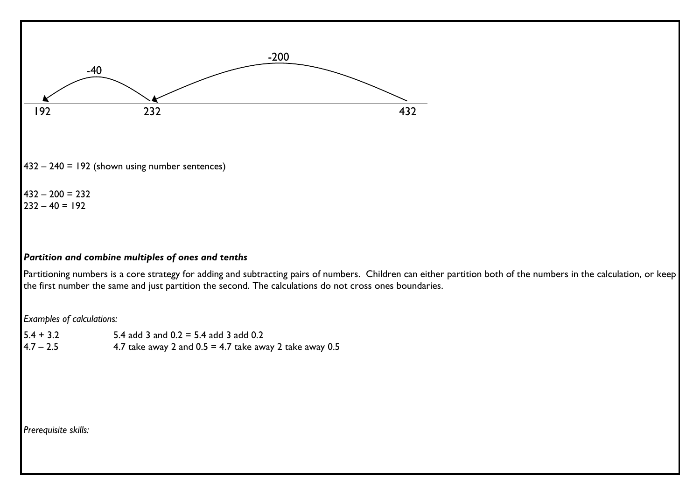

#### *Partition and combine multiples of ones and tenths*

Partitioning numbers is a core strategy for adding and subtracting pairs of numbers. Children can either partition both of the numbers in the calculation, or keep the first number the same and just partition the second. The calculations do not cross ones boundaries.

*Examples of calculations:*

 $5.4 + 3.2$  5.4 add 3 and 0.2 = 5.4 add 3 add 0.2  $4.7 - 2.5$  4.7 take away 2 and 0.5 = 4.7 take away 2 take away 0.5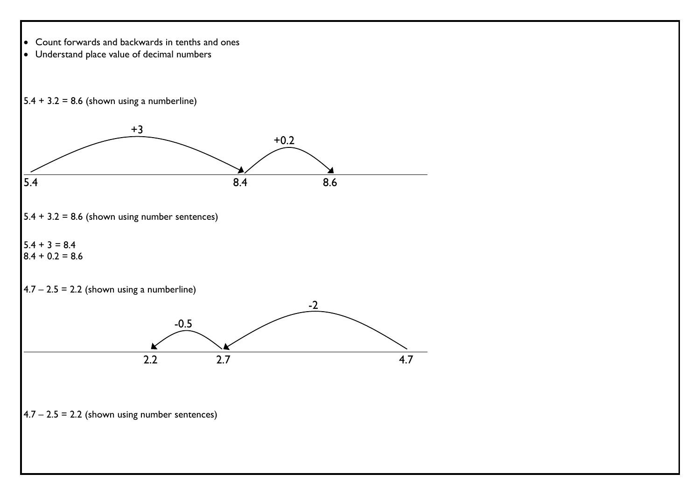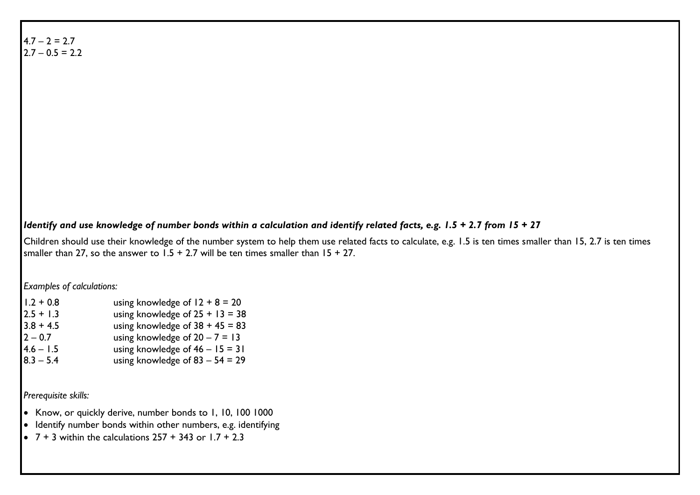$4.7 - 2 = 2.7$  $2.7 - 0.5 = 2.2$ 

#### *Identify and use knowledge of number bonds within a calculation and identify related facts, e.g. 1.5 + 2.7 from 15 + 27*

Children should use their knowledge of the number system to help them use related facts to calculate, e.g. 1.5 is ten times smaller than 15, 2.7 is ten times smaller than 27, so the answer to  $1.5 + 2.7$  will be ten times smaller than  $15 + 27$ .

#### *Examples of calculations:*

| $1.2 + 0.8$ | using knowledge of $12 + 8 = 20$  |
|-------------|-----------------------------------|
| $2.5 + 1.3$ | using knowledge of $25 + 13 = 38$ |
| $3.8 + 4.5$ | using knowledge of $38 + 45 = 83$ |
| $2 - 0.7$   | using knowledge of $20 - 7 = 13$  |
| $4.6 - 1.5$ | using knowledge of $46 - 15 = 31$ |
| $8.3 - 5.4$ | using knowledge of $83 - 54 = 29$ |

- Know, or quickly derive, number bonds to 1, 10, 100 1000
- Identify number bonds within other numbers, e.g. identifying
- $\bullet$  7 + 3 within the calculations 257 + 343 or 1.7 + 2.3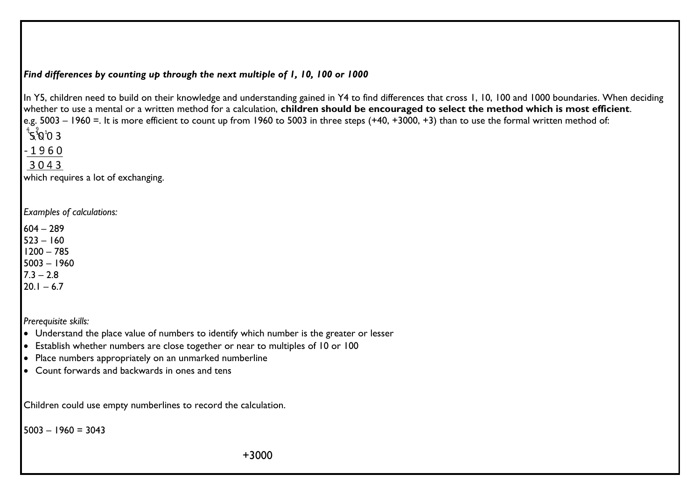# *Find differences by counting up through the next multiple of 1, 10, 100 or 1000*

In Y5, children need to build on their knowledge and understanding gained in Y4 to find differences that cross 1, 10, 100 and 1000 boundaries. When deciding whether to use a mental or a written method for a calculation, **children should be encouraged to select the method which is most efficient**. e.g. 5003 – 1960 =. It is more efficient to count up from 1960 to 5003 in three steps  $(+40, +3000, +3)$  than to use the formal written method of:  $\mathcal{E}$  0<sup>4</sup> $\mathcal{E}^4$  $-1960$ 3043 which requires a lot of exchanging.

*Examples of calculations:*

 $604 - 289$ 523 – 160  $1200 - 785$ 5003 – 1960  $73 - 28$  $20.1 - 6.7$ 

*Prerequisite skills:*

- Understand the place value of numbers to identify which number is the greater or lesser
- Establish whether numbers are close together or near to multiples of 10 or 100
- Place numbers appropriately on an unmarked numberline
- Count forwards and backwards in ones and tens

Children could use empty numberlines to record the calculation.

 $5003 - 1960 = 3043$ 

+3000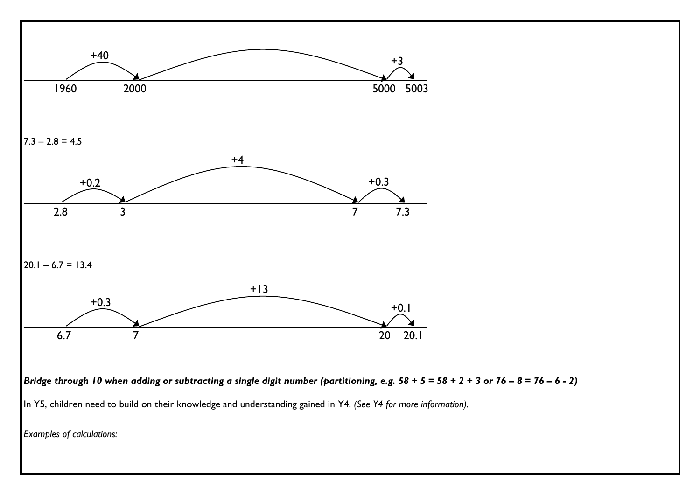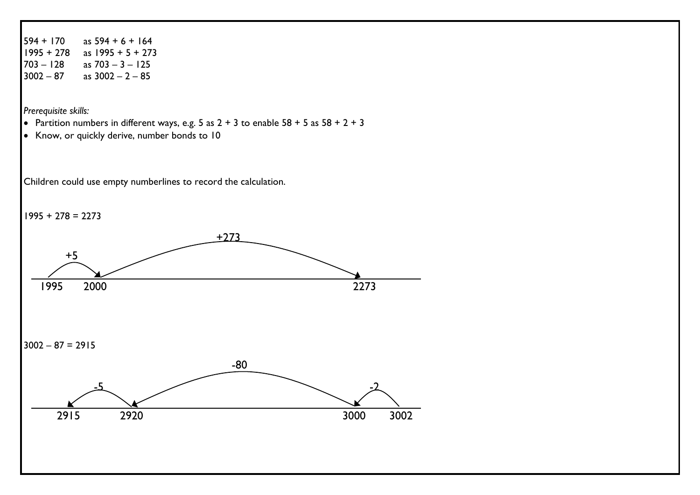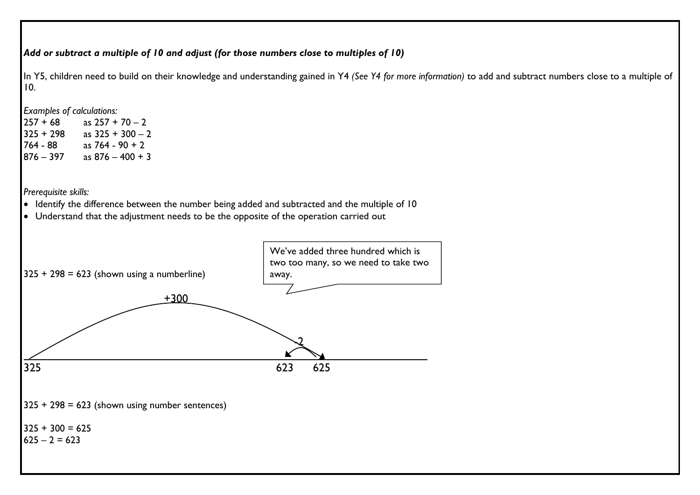## *Add or subtract a multiple of 10 and adjust (for those numbers close to multiples of 10)*

In Y5, children need to build on their knowledge and understanding gained in Y4 *(See Y4 for more information)* to add and subtract numbers close to a multiple of 10.

#### *Examples of calculations:*

 $257 + 68$  as  $257 + 70 - 2$  $325 + 298$  as  $325 + 300 - 2$  $764 - 88$  as  $764 - 90 + 2$  $876 - 397$  as  $876 - 400 + 3$ 

- Identify the difference between the number being added and subtracted and the multiple of 10
- Understand that the adjustment needs to be the opposite of the operation carried out

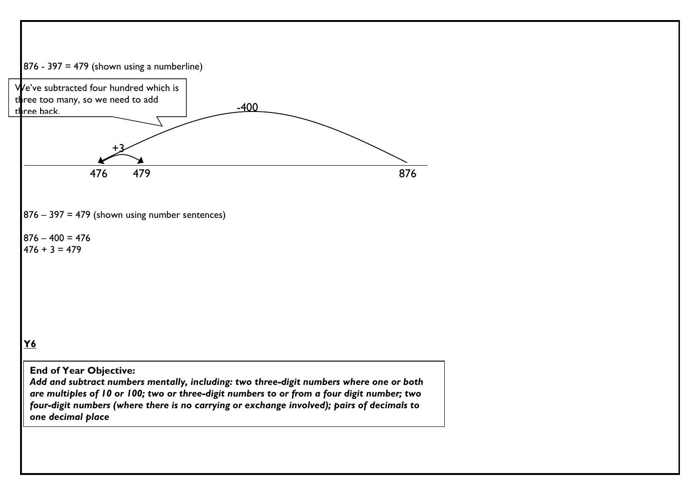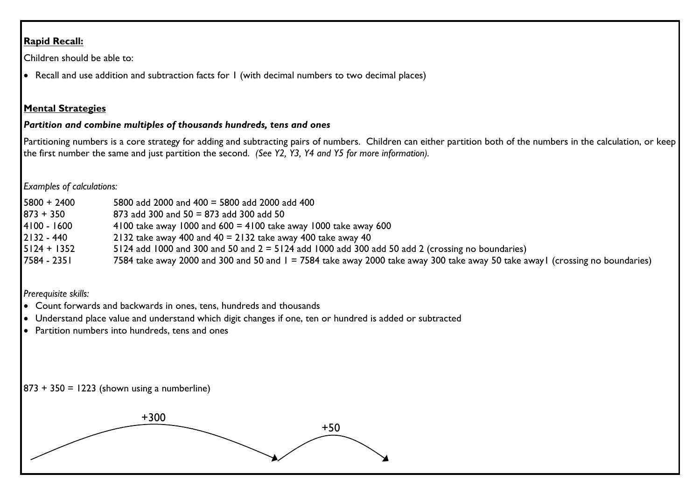# **Rapid Recall:**

Children should be able to:

• Recall and use addition and subtraction facts for 1 (with decimal numbers to two decimal places)

# **Mental Strategies**

## *Partition and combine multiples of thousands hundreds, tens and ones*

Partitioning numbers is a core strategy for adding and subtracting pairs of numbers. Children can either partition both of the numbers in the calculation, or keep the first number the same and just partition the second. *(See Y2, Y3, Y4 and Y5 for more information).*

*Examples of calculations:*

| $5800 + 2400$ | 5800 add 2000 and 400 = 5800 add 2000 add 400                                                                                  |
|---------------|--------------------------------------------------------------------------------------------------------------------------------|
| $873 + 350$   | 873 add 300 and 50 = 873 add 300 add 50                                                                                        |
| 4100 - 1600   | 4100 take away 1000 and $600 = 4100$ take away 1000 take away $600$                                                            |
| 2132 - 440    | 2132 take away 400 and $40 = 2132$ take away 400 take away 40                                                                  |
| $5124 + 1352$ | 5124 add 1000 and 300 and 50 and $2 = 5124$ add 1000 add 300 add 50 add 2 (crossing no boundaries)                             |
| 7584 - 2351   | 7584 take away 2000 and 300 and 50 and 1 = 7584 take away 2000 take away 300 take away 50 take away I (crossing no boundaries) |

*Prerequisite skills:*

- Count forwards and backwards in ones, tens, hundreds and thousands
- Understand place value and understand which digit changes if one, ten or hundred is added or subtracted
- Partition numbers into hundreds, tens and ones

# $873 + 350 = 1223$  (shown using a numberline)

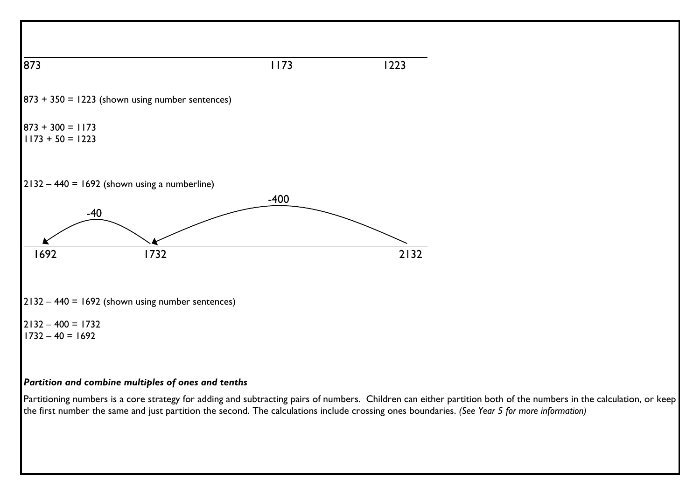

#### *Partition and combine multiples of ones and tenths*

Partitioning numbers is a core strategy for adding and subtracting pairs of numbers. Children can either partition both of the numbers in the calculation, or keep the first number the same and just partition the second. The calculations include crossing ones boundaries. *(See Year 5 for more information)*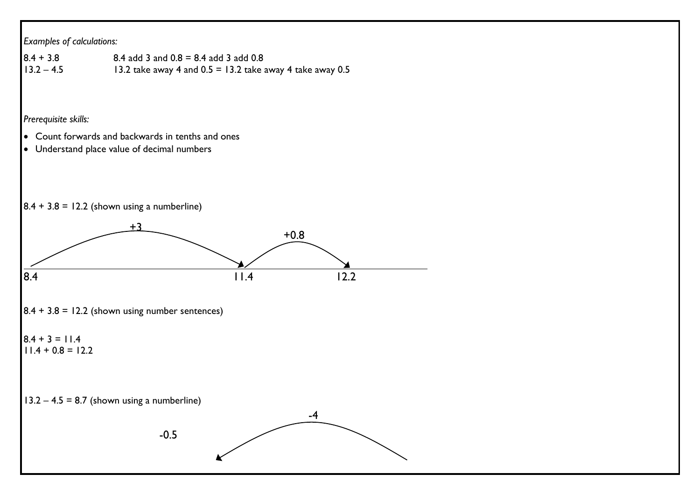*Examples of calculations:*

 $8.4 + 3.8$  8.4 add 3 and 0.8 = 8.4 add 3 add 0.8<br>13.2 – 4.5 13.2 take away 4 and 0.5 = 13.2 take 13.2 take away 4 and  $0.5 = 13.2$  take away 4 take away 0.5

- Count forwards and backwards in tenths and ones
- Understand place value of decimal numbers

 $8.4 + 3.8 = 12.2$  (shown using a numberline)

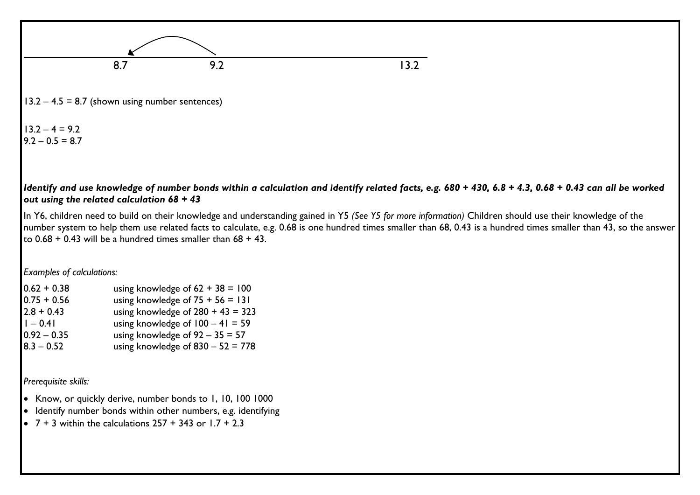

 $13.2 - 4.5 = 8.7$  (shown using number sentences)

 $13.2 - 4 = 9.2$  $9.2 - 0.5 = 8.7$ 

*Identify and use knowledge of number bonds within a calculation and identify related facts, e.g. 680 + 430, 6.8 + 4.3, 0.68 + 0.43 can all be worked out using the related calculation 68 + 43*

In Y6, children need to build on their knowledge and understanding gained in Y5 *(See Y5 for more information)* Children should use their knowledge of the number system to help them use related facts to calculate, e.g. 0.68 is one hundred times smaller than 68, 0.43 is a hundred times smaller than 43, so the answer to  $0.68 + 0.43$  will be a hundred times smaller than  $68 + 43$ .

*Examples of calculations:*

| $0.62 + 0.38$ | using knowledge of $62 + 38 = 100$  |
|---------------|-------------------------------------|
| $0.75 + 0.56$ | using knowledge of $75 + 56 = 131$  |
| $2.8 + 0.43$  | using knowledge of $280 + 43 = 323$ |
| $1 - 0.41$    | using knowledge of $100 - 41 = 59$  |
| $0.92 - 0.35$ | using knowledge of $92 - 35 = 57$   |
| $8.3 - 0.52$  | using knowledge of $830 - 52 = 778$ |

- Know, or quickly derive, number bonds to 1, 10, 100 1000
- Identify number bonds within other numbers, e.g. identifying
- $7 + 3$  within the calculations  $257 + 343$  or  $1.7 + 2.3$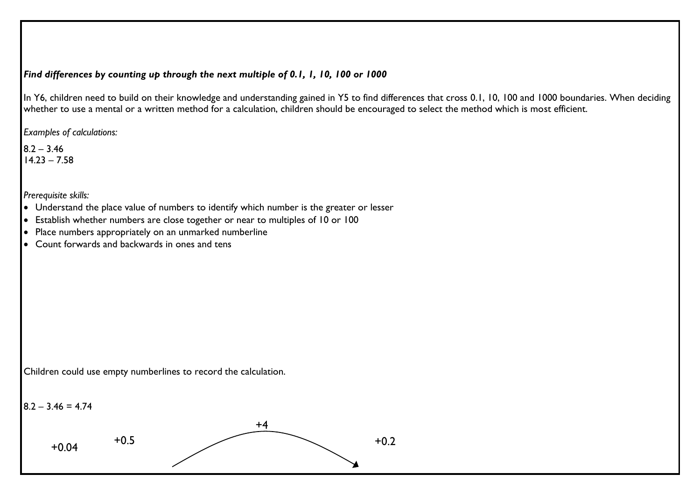#### *Find differences by counting up through the next multiple of 0.1, 1, 10, 100 or 1000*

In Y6, children need to build on their knowledge and understanding gained in Y5 to find differences that cross 0.1, 10, 100 and 1000 boundaries. When deciding whether to use a mental or a written method for a calculation, children should be encouraged to select the method which is most efficient.

*Examples of calculations:*

 $8.2 - 3.46$  $14.23 - 7.58$ 

*Prerequisite skills:*

- Understand the place value of numbers to identify which number is the greater or lesser
- Establish whether numbers are close together or near to multiples of 10 or 100
- Place numbers appropriately on an unmarked numberline
- Count forwards and backwards in ones and tens

Children could use empty numberlines to record the calculation.

 $8.2 - 3.46 = 4.74$ 

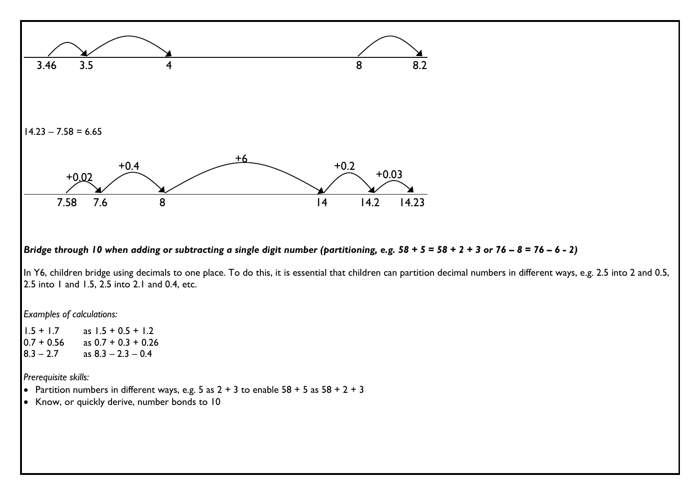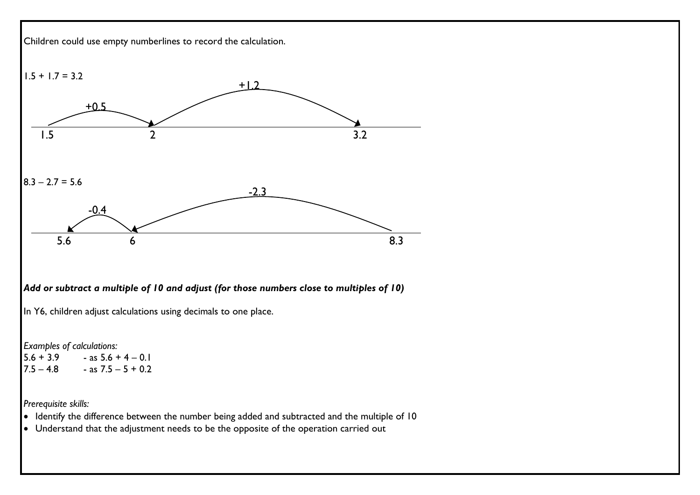

- Identify the difference between the number being added and subtracted and the multiple of 10
- Understand that the adjustment needs to be the opposite of the operation carried out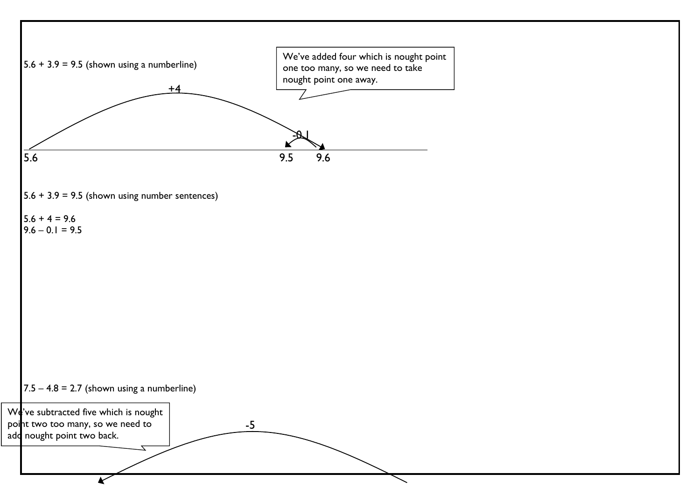